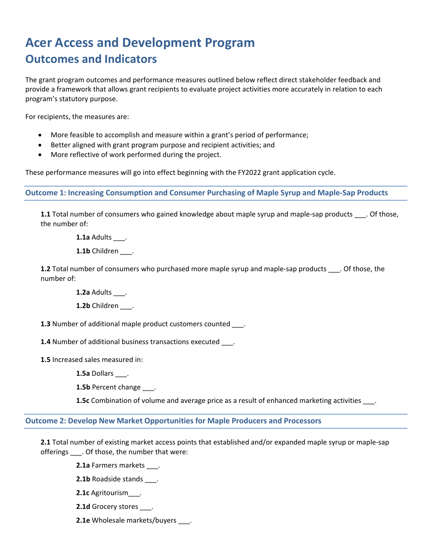# **Acer Access and Development Program Outcomes and Indicators**

The grant program outcomes and performance measures outlined below reflect direct stakeholder feedback and provide a framework that allows grant recipients to evaluate project activities more accurately in relation to each program's statutory purpose.

For recipients, the measures are:

- More feasible to accomplish and measure within a grant's period of performance;
- Better aligned with grant program purpose and recipient activities; and
- More reflective of work performed during the project.

These performance measures will go into effect beginning with the FY2022 grant application cycle.

**Outcome 1: Increasing Consumption and Consumer Purchasing of Maple Syrup and Maple-Sap Products**

**1.1** Total number of consumers who gained knowledge about maple syrup and maple-sap products \_\_\_. Of those, the number of:

**1.1a** Adults \_\_\_.

1.1b Children .

**1.2** Total number of consumers who purchased more maple syrup and maple-sap products \_\_\_. Of those, the number of:

**1.2a** Adults \_\_\_.

**1.2b** Children \_\_\_.

**1.3** Number of additional maple product customers counted \_\_\_.

**1.4** Number of additional business transactions executed ...

**1.5** Increased sales measured in:

**1.5a** Dollars \_\_\_.

1.5b Percent change \_\_\_\_.

**1.5c** Combination of volume and average price as a result of enhanced marketing activities \_\_\_.

**Outcome 2: Develop New Market Opportunities for Maple Producers and Processors**

**2.1** Total number of existing market access points that established and/or expanded maple syrup or maple-sap offerings \_\_\_. Of those, the number that were:

**2.1a** Farmers markets .

**2.1b** Roadside stands \_\_\_.

**2.1c** Agritourism\_\_\_.

**2.1d** Grocery stores \_\_\_.

**2.1e** Wholesale markets/buyers \_\_\_\_.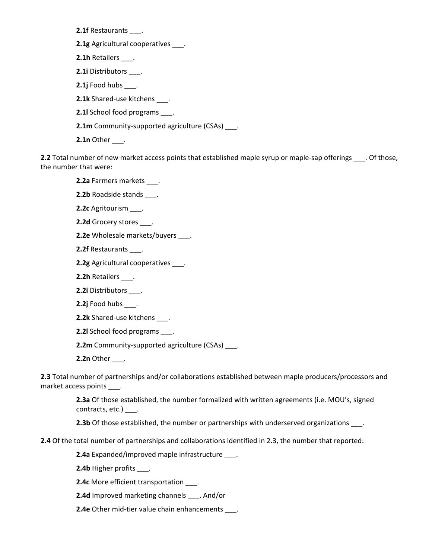**2.1f** Restaurants \_\_\_.

**2.1g** Agricultural cooperatives \_\_\_.

**2.1h** Retailers \_\_\_.

**2.1i** Distributors \_\_\_.

**2.1j** Food hubs \_\_\_.

**2.1k** Shared-use kitchens .

**2.1l** School food programs \_\_\_.

**2.1m** Community-supported agriculture (CSAs) .

**2.1n** Other \_\_\_\_.

**2.2** Total number of new market access points that established maple syrup or maple-sap offerings \_\_\_\_. Of those, the number that were:

**2.2a** Farmers markets \_\_\_.

**2.2b** Roadside stands \_\_\_.

**2.2c** Agritourism \_\_\_.

**2.2d** Grocery stores \_\_\_.

**2.2e** Wholesale markets/buyers .

**2.2f** Restaurants \_\_\_.

**2.2g** Agricultural cooperatives \_\_\_.

**2.2h** Retailers \_\_\_.

**2.2i** Distributors \_\_\_.

**2.2j** Food hubs \_\_\_.

**2.2k** Shared-use kitchens \_\_\_.

**2.2l** School food programs \_\_\_.

**2.2m** Community-supported agriculture (CSAs) \_\_\_.

**2.2n** Other \_\_\_\_.

**2.3** Total number of partnerships and/or collaborations established between maple producers/processors and market access points .

> **2.3a** Of those established, the number formalized with written agreements (i.e. MOU's, signed contracts, etc.) \_\_\_.

**2.3b** Of those established, the number or partnerships with underserved organizations \_\_\_\_.

**2.4** Of the total number of partnerships and collaborations identified in 2.3, the number that reported:

**2.4a** Expanded/improved maple infrastructure \_\_\_.

**2.4b** Higher profits \_\_\_.

**2.4c** More efficient transportation \_\_\_.

**2.4d** Improved marketing channels \_\_\_. And/or

**2.4e** Other mid-tier value chain enhancements .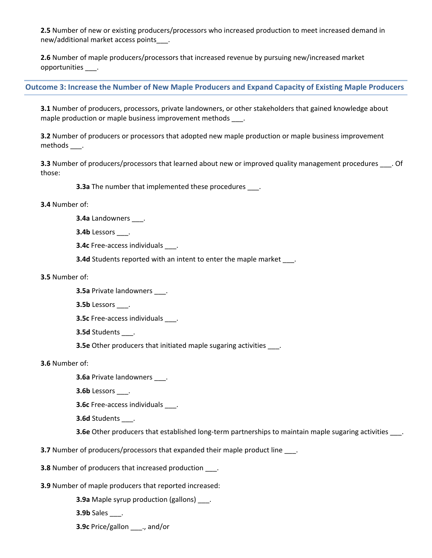**2.5** Number of new or existing producers/processors who increased production to meet increased demand in new/additional market access points\_\_\_.

**2.6** Number of maple producers/processors that increased revenue by pursuing new/increased market opportunities \_\_\_.

## **Outcome 3: Increase the Number of New Maple Producers and Expand Capacity of Existing Maple Producers**

**3.1** Number of producers, processors, private landowners, or other stakeholders that gained knowledge about maple production or maple business improvement methods .

**3.2** Number of producers or processors that adopted new maple production or maple business improvement methods \_\_\_.

**3.3** Number of producers/processors that learned about new or improved quality management procedures . Of those:

**3.3a** The number that implemented these procedures .

### **3.4** Number of:

**3.4a** Landowners \_\_\_.

**3.4b** Lessors \_\_\_.

**3.4c** Free-access individuals \_\_\_.

**3.4d** Students reported with an intent to enter the maple market .

#### **3.5** Number of:

- **3.5a** Private landowners \_\_\_.
- **3.5b** Lessors \_\_\_.
- **3.5c** Free-access individuals .
- **3.5d** Students \_\_\_.
- **3.5e** Other producers that initiated maple sugaring activities \_\_\_\_.

**3.6** Number of:

**3.6a** Private landowners \_\_\_.

- **3.6b** Lessors \_\_\_.
- **3.6c** Free-access individuals .

**3.6d** Students \_\_\_.

**3.6e** Other producers that established long-term partnerships to maintain maple sugaring activities \_\_\_\_.

**3.7** Number of producers/processors that expanded their maple product line \_\_\_\_.

**3.8** Number of producers that increased production \_\_\_\_.

**3.9** Number of maple producers that reported increased:

**3.9a** Maple syrup production (gallons) \_\_\_.

**3.9b** Sales \_\_\_.

**3.9c** Price/gallon \_\_\_., and/or